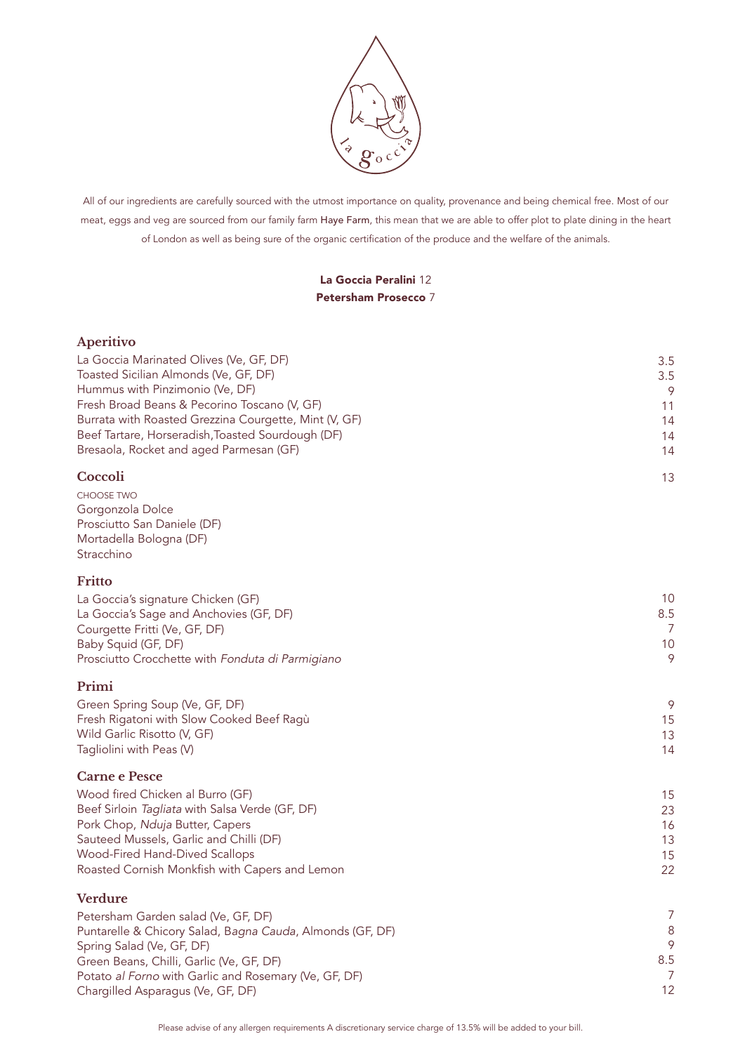

All of our ingredients are carefully sourced with the utmost importance on quality, provenance and being chemical free. Most of our meat, eggs and veg are sourced from our family farm Haye Farm, this mean that we are able to offer plot to plate dining in the heart of London as well as being sure of the organic certification of the produce and the welfare of the animals.

## La Goccia Peralini 12 Petersham Prosecco 7

| Aperitivo |  |
|-----------|--|
|           |  |
|           |  |
|           |  |

| La Goccia Marinated Olives (Ve, GF, DF)                                                           | 3.5            |
|---------------------------------------------------------------------------------------------------|----------------|
| Toasted Sicilian Almonds (Ve, GF, DF)                                                             | 3.5            |
| Hummus with Pinzimonio (Ve, DF)<br>Fresh Broad Beans & Pecorino Toscano (V, GF)                   | 9<br>11        |
| Burrata with Roasted Grezzina Courgette, Mint (V, GF)                                             | 14             |
| Beef Tartare, Horseradish, Toasted Sourdough (DF)                                                 | 14             |
| Bresaola, Rocket and aged Parmesan (GF)                                                           | 14             |
| Coccoli                                                                                           | 13             |
| <b>CHOOSE TWO</b>                                                                                 |                |
| Gorgonzola Dolce                                                                                  |                |
| Prosciutto San Daniele (DF)                                                                       |                |
| Mortadella Bologna (DF)<br>Stracchino                                                             |                |
|                                                                                                   |                |
| Fritto                                                                                            |                |
| La Goccia's signature Chicken (GF)<br>La Goccia's Sage and Anchovies (GF, DF)                     | 10<br>8.5      |
| Courgette Fritti (Ve, GF, DF)                                                                     | 7              |
| Baby Squid (GF, DF)                                                                               | 10             |
| Prosciutto Crocchette with Fonduta di Parmigiano                                                  | 9              |
| Primi                                                                                             |                |
| Green Spring Soup (Ve, GF, DF)                                                                    | 9              |
| Fresh Rigatoni with Slow Cooked Beef Ragù                                                         | 15             |
| Wild Garlic Risotto (V, GF)                                                                       | 13             |
| Tagliolini with Peas (V)                                                                          | 14             |
| <b>Carne e Pesce</b>                                                                              |                |
| Wood fired Chicken al Burro (GF)                                                                  | 15             |
| Beef Sirloin Tagliata with Salsa Verde (GF, DF)                                                   | 23             |
| Pork Chop, Nduja Butter, Capers                                                                   | 16             |
| Sauteed Mussels, Garlic and Chilli (DF)                                                           | 13             |
| Wood-Fired Hand-Dived Scallops                                                                    | 15             |
| Roasted Cornish Monkfish with Capers and Lemon                                                    | 22             |
| <b>Verdure</b>                                                                                    |                |
| Petersham Garden salad (Ve, GF, DF)                                                               | $\overline{7}$ |
| Puntarelle & Chicory Salad, Bagna Cauda, Almonds (GF, DF)                                         | 8              |
| Spring Salad (Ve, GF, DF)                                                                         | 9<br>8.5       |
| Green Beans, Chilli, Garlic (Ve, GF, DF)<br>Potato al Forno with Garlic and Rosemary (Ve, GF, DF) | 7              |
| Chargilled Asparagus (Ve, GF, DF)                                                                 | 12             |

Please advise of any allergen requirements A discretionary service charge of 13.5% will be added to your bill.